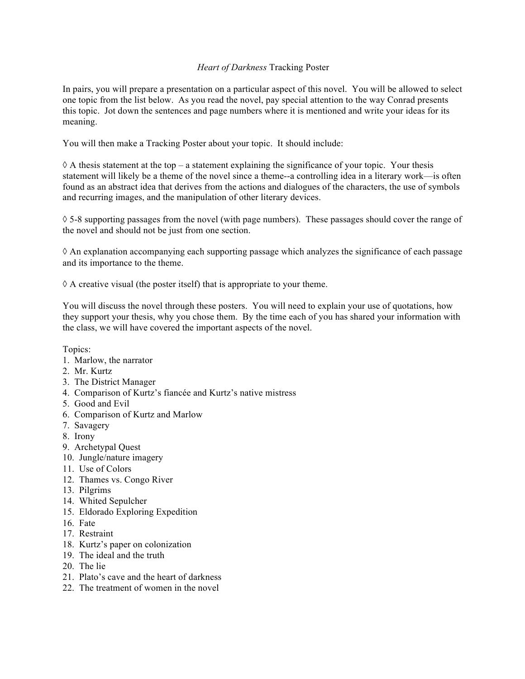## *Heart of Darkness* Tracking Poster

In pairs, you will prepare a presentation on a particular aspect of this novel. You will be allowed to select one topic from the list below. As you read the novel, pay special attention to the way Conrad presents this topic. Jot down the sentences and page numbers where it is mentioned and write your ideas for its meaning.

You will then make a Tracking Poster about your topic. It should include:

 $\Diamond$  A thesis statement at the top – a statement explaining the significance of your topic. Your thesis statement will likely be a theme of the novel since a theme--a controlling idea in a literary work—is often found as an abstract idea that derives from the actions and dialogues of the characters, the use of symbols and recurring images, and the manipulation of other literary devices.

 $\Diamond$  5-8 supporting passages from the novel (with page numbers). These passages should cover the range of the novel and should not be just from one section.

 $\Diamond$  An explanation accompanying each supporting passage which analyzes the significance of each passage and its importance to the theme.

 $\Diamond$  A creative visual (the poster itself) that is appropriate to your theme.

You will discuss the novel through these posters. You will need to explain your use of quotations, how they support your thesis, why you chose them. By the time each of you has shared your information with the class, we will have covered the important aspects of the novel.

Topics:

- 1. Marlow, the narrator
- 2. Mr. Kurtz
- 3. The District Manager
- 4. Comparison of Kurtz's fiancée and Kurtz's native mistress
- 5. Good and Evil
- 6. Comparison of Kurtz and Marlow
- 7. Savagery
- 8. Irony
- 9. Archetypal Quest
- 10. Jungle/nature imagery
- 11. Use of Colors
- 12. Thames vs. Congo River
- 13. Pilgrims
- 14. Whited Sepulcher
- 15. Eldorado Exploring Expedition
- 16. Fate
- 17. Restraint
- 18. Kurtz's paper on colonization
- 19. The ideal and the truth
- 20. The lie
- 21. Plato's cave and the heart of darkness
- 22. The treatment of women in the novel